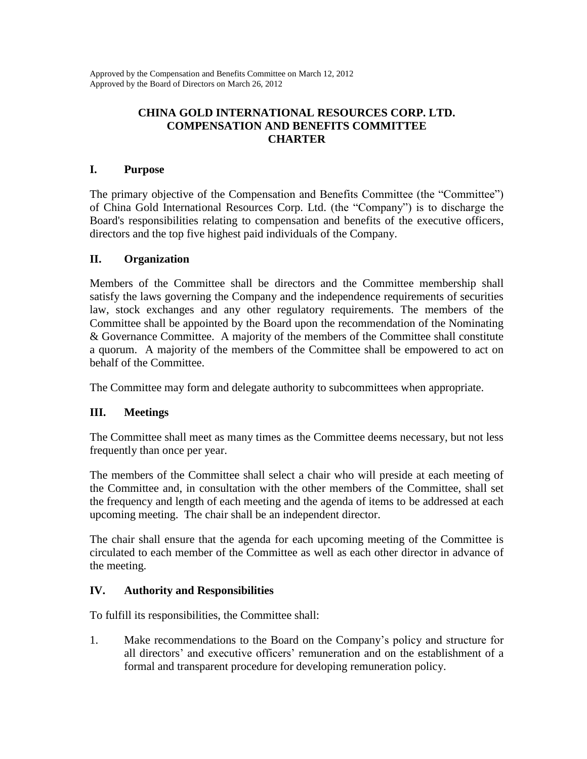Approved by the Compensation and Benefits Committee on March 12, 2012 Approved by the Board of Directors on March 26, 2012

# **CHINA GOLD INTERNATIONAL RESOURCES CORP. LTD. COMPENSATION AND BENEFITS COMMITTEE CHARTER**

## **I. Purpose**

The primary objective of the Compensation and Benefits Committee (the "Committee") of China Gold International Resources Corp. Ltd. (the "Company") is to discharge the Board's responsibilities relating to compensation and benefits of the executive officers, directors and the top five highest paid individuals of the Company.

## **II. Organization**

Members of the Committee shall be directors and the Committee membership shall satisfy the laws governing the Company and the independence requirements of securities law, stock exchanges and any other regulatory requirements. The members of the Committee shall be appointed by the Board upon the recommendation of the Nominating & Governance Committee. A majority of the members of the Committee shall constitute a quorum. A majority of the members of the Committee shall be empowered to act on behalf of the Committee.

The Committee may form and delegate authority to subcommittees when appropriate.

# **III. Meetings**

The Committee shall meet as many times as the Committee deems necessary, but not less frequently than once per year.

The members of the Committee shall select a chair who will preside at each meeting of the Committee and, in consultation with the other members of the Committee, shall set the frequency and length of each meeting and the agenda of items to be addressed at each upcoming meeting. The chair shall be an independent director.

The chair shall ensure that the agenda for each upcoming meeting of the Committee is circulated to each member of the Committee as well as each other director in advance of the meeting.

#### **IV. Authority and Responsibilities**

To fulfill its responsibilities, the Committee shall:

1. Make recommendations to the Board on the Company's policy and structure for all directors' and executive officers' remuneration and on the establishment of a formal and transparent procedure for developing remuneration policy.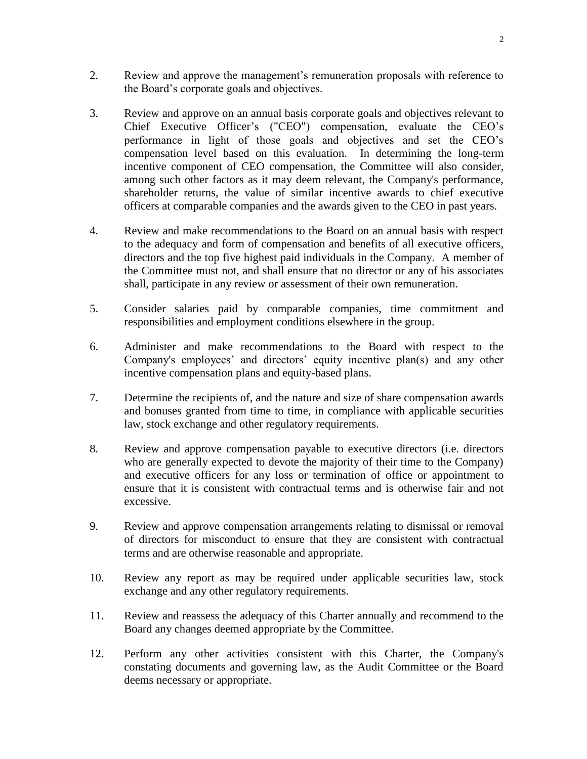- 2. Review and approve the management's remuneration proposals with reference to the Board's corporate goals and objectives.
- 3. Review and approve on an annual basis corporate goals and objectives relevant to Chief Executive Officer's ("CEO") compensation, evaluate the CEO's performance in light of those goals and objectives and set the CEO's compensation level based on this evaluation. In determining the long-term incentive component of CEO compensation, the Committee will also consider, among such other factors as it may deem relevant, the Company's performance, shareholder returns, the value of similar incentive awards to chief executive officers at comparable companies and the awards given to the CEO in past years.
- 4. Review and make recommendations to the Board on an annual basis with respect to the adequacy and form of compensation and benefits of all executive officers, directors and the top five highest paid individuals in the Company. A member of the Committee must not, and shall ensure that no director or any of his associates shall, participate in any review or assessment of their own remuneration.
- 5. Consider salaries paid by comparable companies, time commitment and responsibilities and employment conditions elsewhere in the group.
- 6. Administer and make recommendations to the Board with respect to the Company's employees' and directors' equity incentive plan(s) and any other incentive compensation plans and equity-based plans.
- 7. Determine the recipients of, and the nature and size of share compensation awards and bonuses granted from time to time, in compliance with applicable securities law, stock exchange and other regulatory requirements.
- 8. Review and approve compensation payable to executive directors (i.e. directors who are generally expected to devote the majority of their time to the Company) and executive officers for any loss or termination of office or appointment to ensure that it is consistent with contractual terms and is otherwise fair and not excessive.
- 9. Review and approve compensation arrangements relating to dismissal or removal of directors for misconduct to ensure that they are consistent with contractual terms and are otherwise reasonable and appropriate.
- 10. Review any report as may be required under applicable securities law, stock exchange and any other regulatory requirements.
- 11. Review and reassess the adequacy of this Charter annually and recommend to the Board any changes deemed appropriate by the Committee.
- 12. Perform any other activities consistent with this Charter, the Company's constating documents and governing law, as the Audit Committee or the Board deems necessary or appropriate.